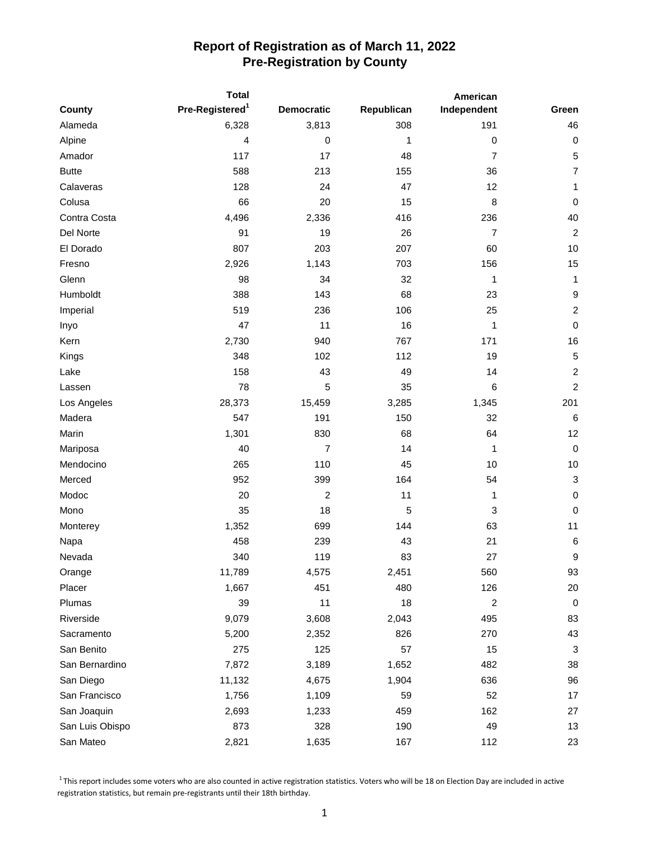|                 |                             | Total                   |            | American         |                  |  |
|-----------------|-----------------------------|-------------------------|------------|------------------|------------------|--|
| County          | Pre-Registered <sup>1</sup> | <b>Democratic</b>       | Republican | Independent      | Green            |  |
| Alameda         | 6,328                       | 3,813                   | 308        | 191              | 46               |  |
| Alpine          | 4                           | $\pmb{0}$               | 1          | $\boldsymbol{0}$ | $\pmb{0}$        |  |
| Amador          | 117                         | 17                      | 48         | $\overline{7}$   | 5                |  |
| <b>Butte</b>    | 588                         | 213                     | 155        | 36               | $\overline{7}$   |  |
| Calaveras       | 128                         | 24                      | 47         | 12               | 1                |  |
| Colusa          | 66                          | 20                      | 15         | 8                | $\mathbf 0$      |  |
| Contra Costa    | 4,496                       | 2,336                   | 416        | 236              | 40               |  |
| Del Norte       | 91                          | 19                      | 26         | $\overline{7}$   | $\overline{2}$   |  |
| El Dorado       | 807                         | 203                     | 207        | 60               | 10               |  |
| Fresno          | 2,926                       | 1,143                   | 703        | 156              | 15               |  |
| Glenn           | 98                          | 34                      | 32         | 1                | $\mathbf{1}$     |  |
| Humboldt        | 388                         | 143                     | 68         | 23               | $\boldsymbol{9}$ |  |
| Imperial        | 519                         | 236                     | 106        | 25               | $\sqrt{2}$       |  |
| Inyo            | 47                          | 11                      | 16         | 1                | $\mathbf 0$      |  |
| Kern            | 2,730                       | 940                     | 767        | 171              | 16               |  |
| Kings           | 348                         | 102                     | 112        | 19               | $\sqrt{5}$       |  |
| Lake            | 158                         | 43                      | 49         | 14               | $\overline{c}$   |  |
| Lassen          | 78                          | 5                       | 35         | 6                | $\overline{c}$   |  |
| Los Angeles     | 28,373                      | 15,459                  | 3,285      | 1,345            | 201              |  |
| Madera          | 547                         | 191                     | 150        | 32               | 6                |  |
| Marin           | 1,301                       | 830                     | 68         | 64               | 12               |  |
| Mariposa        | 40                          | $\overline{7}$          | 14         | 1                | $\boldsymbol{0}$ |  |
| Mendocino       | 265                         | 110                     | 45         | 10               | 10               |  |
| Merced          | 952                         | 399                     | 164        | 54               | $\mathbf{3}$     |  |
| Modoc           | 20                          | $\overline{\mathbf{c}}$ | 11         | 1                | $\pmb{0}$        |  |
| Mono            | 35                          | 18                      | 5          | 3                | $\pmb{0}$        |  |
| Monterey        | 1,352                       | 699                     | 144        | 63               | 11               |  |
| Napa            | 458                         | 239                     | 43         | 21               | 6                |  |
| Nevada          | 340                         | 119                     | 83         | 27               | 9                |  |
| Orange          | 11,789                      | 4,575                   | 2,451      | 560              | 93               |  |
| Placer          | 1,667                       | 451                     | 480        | 126              | 20               |  |
| Plumas          | 39                          | 11                      | 18         | $\overline{c}$   | 0                |  |
| Riverside       | 9,079                       | 3,608                   | 2,043      | 495              | 83               |  |
| Sacramento      | 5,200                       | 2,352                   | 826        | 270              | 43               |  |
| San Benito      | 275                         | 125                     | 57         | 15               | 3                |  |
| San Bernardino  | 7,872                       | 3,189                   | 1,652      | 482              | 38               |  |
| San Diego       | 11,132                      | 4,675                   | 1,904      | 636              | 96               |  |
| San Francisco   | 1,756                       | 1,109                   | 59         | 52               | 17               |  |
| San Joaquin     | 2,693                       | 1,233                   | 459        | 162              | 27               |  |
| San Luis Obispo | 873                         | 328                     | 190        | 49               | 13               |  |
| San Mateo       | 2,821                       | 1,635                   | 167        | 112              | 23               |  |

 $1$ This report includes some voters who are also counted in active registration statistics. Voters who will be 18 on Election Day are included in active registration statistics, but remain pre-registrants until their 18th birthday.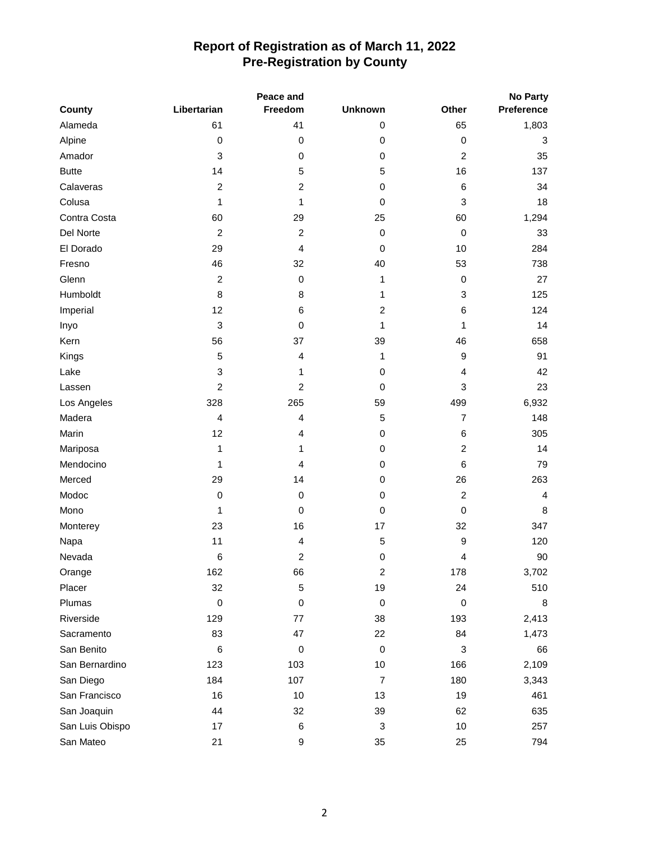| Peace and       |                  |                | <b>No Party</b> |                |            |  |
|-----------------|------------------|----------------|-----------------|----------------|------------|--|
| County          | Libertarian      | Freedom        | <b>Unknown</b>  | Other          | Preference |  |
| Alameda         | 61               | 41             | 0               | 65             | 1,803      |  |
| Alpine          | 0                | $\mathbf 0$    | 0               | $\pmb{0}$      | 3          |  |
| Amador          | 3                | $\,0\,$        | 0               | $\overline{c}$ | 35         |  |
| <b>Butte</b>    | 14               | 5              | $\mathbf 5$     | 16             | 137        |  |
| Calaveras       | $\boldsymbol{2}$ | $\overline{c}$ | 0               | 6              | 34         |  |
| Colusa          | 1                | 1              | $\pmb{0}$       | 3              | 18         |  |
| Contra Costa    | 60               | 29             | 25              | 60             | 1,294      |  |
| Del Norte       | $\overline{2}$   | $\overline{c}$ | 0               | $\pmb{0}$      | 33         |  |
| El Dorado       | 29               | $\overline{4}$ | $\pmb{0}$       | 10             | 284        |  |
| Fresno          | 46               | 32             | 40              | 53             | 738        |  |
| Glenn           | $\boldsymbol{2}$ | 0              | 1               | $\mathbf 0$    | 27         |  |
| Humboldt        | 8                | 8              | 1               | 3              | 125        |  |
| Imperial        | 12               | 6              | $\overline{c}$  | 6              | 124        |  |
| Inyo            | 3                | $\mathbf 0$    | $\mathbf{1}$    | 1              | 14         |  |
| Kern            | 56               | 37             | 39              | 46             | 658        |  |
| Kings           | 5                | $\overline{4}$ | 1               | 9              | 91         |  |
| Lake            | 3                | 1              | $\pmb{0}$       | 4              | 42         |  |
| Lassen          | $\overline{c}$   | $\overline{c}$ | $\pmb{0}$       | 3              | 23         |  |
| Los Angeles     | 328              | 265            | 59              | 499            | 6,932      |  |
| Madera          | 4                | $\overline{4}$ | 5               | $\overline{7}$ | 148        |  |
| Marin           | 12               | $\overline{4}$ | 0               | 6              | 305        |  |
| Mariposa        | 1                | 1              | 0               | $\overline{c}$ | 14         |  |
| Mendocino       | 1                | 4              | 0               | 6              | 79         |  |
| Merced          | 29               | 14             | 0               | 26             | 263        |  |
| Modoc           | 0                | 0              | 0               | $\overline{c}$ | 4          |  |
| Mono            | 1                | $\mathbf 0$    | 0               | $\pmb{0}$      | 8          |  |
| Monterey        | 23               | 16             | 17              | 32             | 347        |  |
| Napa            | 11               | 4              | 5               | 9              | 120        |  |
| Nevada          | $\,6$            | $\overline{c}$ | 0               | 4              | 90         |  |
| Orange          | 162              | 66             | 2               | 178            | 3,702      |  |
| Placer          | 32               | 5              | 19              | 24             | 510        |  |
| Plumas          | $\pmb{0}$        | 0              | $\pmb{0}$       | $\pmb{0}$      | 8          |  |
| Riverside       | 129              | 77             | 38              | 193            | 2,413      |  |
| Sacramento      | 83               | 47             | 22              | 84             | 1,473      |  |
| San Benito      | 6                | $\pmb{0}$      | $\pmb{0}$       | 3              | 66         |  |
| San Bernardino  | 123              | 103            | $10$            | 166            | 2,109      |  |
| San Diego       | 184              | 107            | $\overline{7}$  | 180            | 3,343      |  |
| San Francisco   | 16               | $10$           | 13              | 19             | 461        |  |
| San Joaquin     | 44               | 32             | 39              | 62             | 635        |  |
| San Luis Obispo | 17               | 6              | 3               | $10$           | 257        |  |
| San Mateo       | 21               | 9              | 35              | 25             | 794        |  |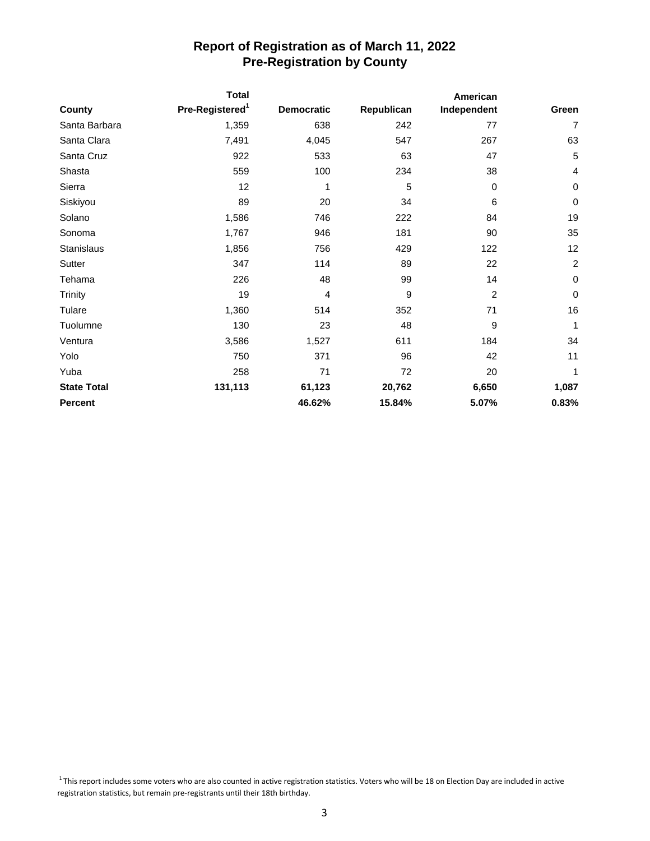|                    | <b>Total</b>                |                   |            | American       |                |
|--------------------|-----------------------------|-------------------|------------|----------------|----------------|
| County             | Pre-Registered <sup>1</sup> | <b>Democratic</b> | Republican | Independent    | Green          |
| Santa Barbara      | 1,359                       | 638               | 242        | 77             | $\overline{7}$ |
| Santa Clara        | 7,491                       | 4,045             | 547        | 267            | 63             |
| Santa Cruz         | 922                         | 533               | 63         | 47             | 5              |
| Shasta             | 559                         | 100               | 234        | 38             | 4              |
| Sierra             | 12                          | 1                 | 5          | 0              | $\mathbf 0$    |
| Siskiyou           | 89                          | 20                | 34         | 6              | $\mathbf 0$    |
| Solano             | 1,586                       | 746               | 222        | 84             | 19             |
| Sonoma             | 1,767                       | 946               | 181        | 90             | 35             |
| Stanislaus         | 1,856                       | 756               | 429        | 122            | 12             |
| Sutter             | 347                         | 114               | 89         | 22             | $\overline{c}$ |
| Tehama             | 226                         | 48                | 99         | 14             | $\pmb{0}$      |
| Trinity            | 19                          | 4                 | 9          | $\overline{c}$ | $\pmb{0}$      |
| Tulare             | 1,360                       | 514               | 352        | 71             | 16             |
| Tuolumne           | 130                         | 23                | 48         | 9              | 1              |
| Ventura            | 3,586                       | 1,527             | 611        | 184            | 34             |
| Yolo               | 750                         | 371               | 96         | 42             | 11             |
| Yuba               | 258                         | 71                | 72         | 20             | 1              |
| <b>State Total</b> | 131,113                     | 61,123            | 20,762     | 6,650          | 1,087          |
| <b>Percent</b>     |                             | 46.62%            | 15.84%     | 5.07%          | 0.83%          |

 $1$ This report includes some voters who are also counted in active registration statistics. Voters who will be 18 on Election Day are included in active registration statistics, but remain pre-registrants until their 18th birthday.